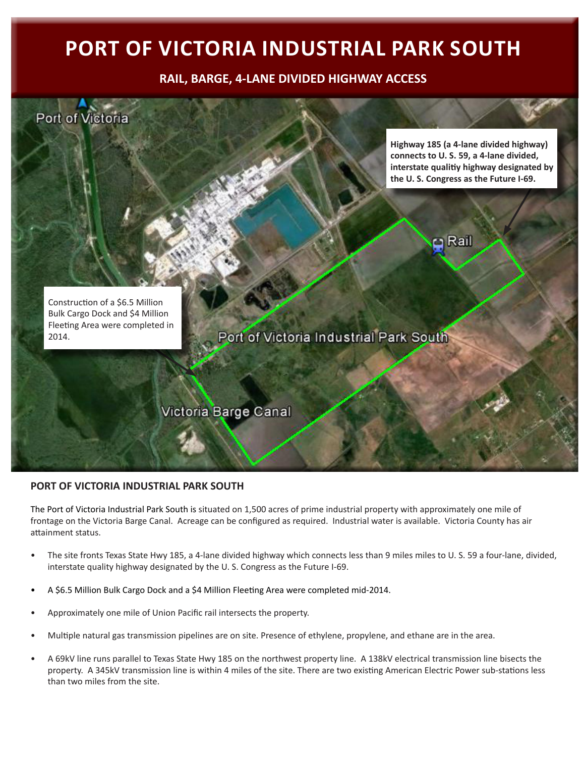## **PORT OF VICTORIA INDUSTRIAL PARK SOUTH**

**RAIL, BARGE, 4-LANE DIVIDED HIGHWAY ACCESS** 



## **PORT OF VICTORIA INDUSTRIAL PARK SOUTH**

The Port of Victoria Industrial Park South is situated on 1,500 acres of prime industrial property with approximately one mile of frontage on the Victoria Barge Canal. Acreage can be configured as required. Industrial water is available. Victoria County has air attainment status.

- The site fronts Texas State Hwy 185, a 4-lane divided highway which connects less than 9 miles miles to U. S. 59 a four-lane, divided, interstate quality highway designated by the U. S. Congress as the Future I-69.
- A \$6.5 Million Bulk Cargo Dock and a \$4 Million Fleeting Area were completed mid-2014.
- Approximately one mile of Union Pacific rail intersects the property.
- Multiple natural gas transmission pipelines are on site. Presence of ethylene, propylene, and ethane are in the area.
- A 69kV line runs parallel to Texas State Hwy 185 on the northwest property line. A 138kV electrical transmission line bisects the property. A 345kV transmission line is within 4 miles of the site. There are two existing American Electric Power sub-stations less than two miles from the site.